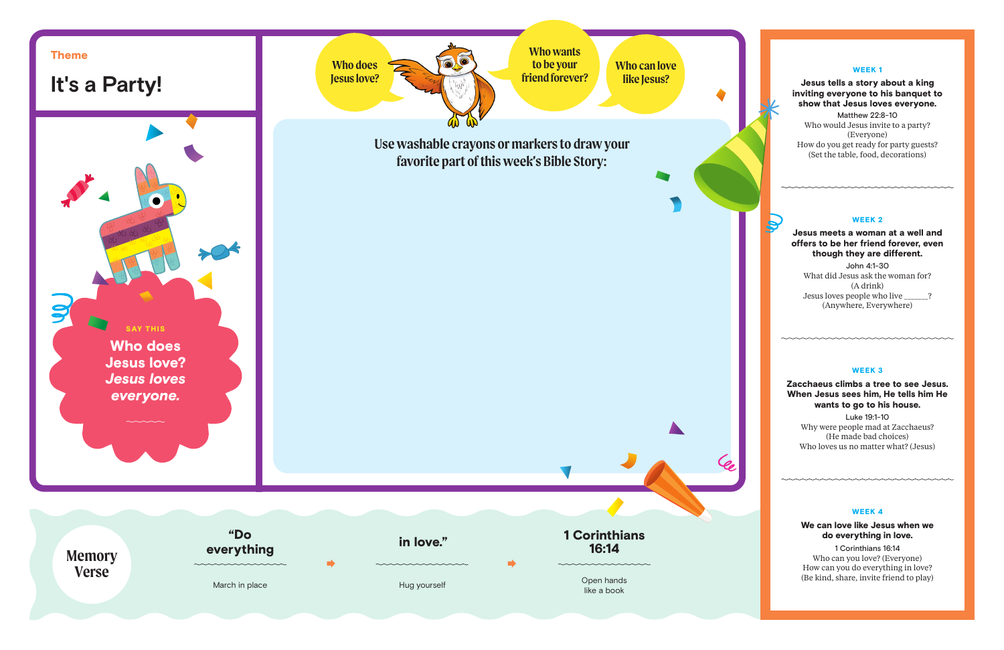

## WEEK 1

# Jesus tells a story about a king inviting everyone to his banquet to show that Jesus loves everyone.

Matthew 22:8-10 Who would Jesus invite to a party? (Everyone) How do you get ready for party guests? (Set the table, food, decorations)

#### WEEK<sub>2</sub>

Jesus meets a woman at a well and offers to be her friend forever, even though they are different.

John 4:1-30 What did Jesus ask the woman for? (A drink) Jesus loves people who live \_\_\_\_\_\_\_? (Anywhere, Everywhere)

### WEEK 3

Zacchaeus climbs a tree to see Jesus. When Jesus sees him, He tells him He wants to go to his house.

Luke 19:1-10 Why were people mad at Zacchaeus? (He made bad choices) Who loves us no matter what? (Jesus)

# WEEK 4

We can love like Jesus when we do everything in love.

1 Corinthians 16:14 Who can you love? (Everyone) How can you do everything in love? (Be kind, share, invite friend to play)